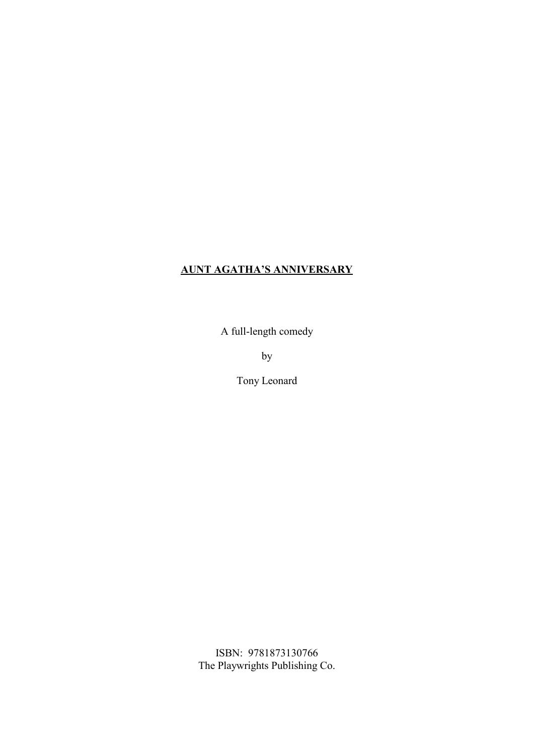A full-length comedy

by

Tony Leonard

ISBN: 9781873130766 The Playwrights Publishing Co.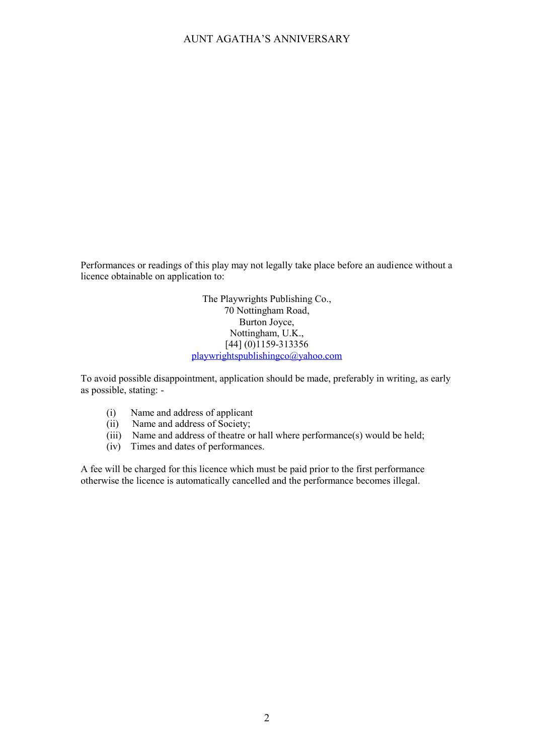Performances or readings of this play may not legally take place before an audience without a licence obtainable on application to:

> The Playwrights Publishing Co., 70 Nottingham Road, Burton Joyce, Nottingham, U.K., [44] (0)1159-313356 playwrightspublishingco@yahoo.com

To avoid possible disappointment, application should be made, preferably in writing, as early as possible, stating: -

- (i) Name and address of applicant
- (ii) Name and address of Society;
- (iii) Name and address of theatre or hall where performance(s) would be held;
- (iv) Times and dates of performances.

A fee will be charged for this licence which must be paid prior to the first performance otherwise the licence is automatically cancelled and the performance becomes illegal.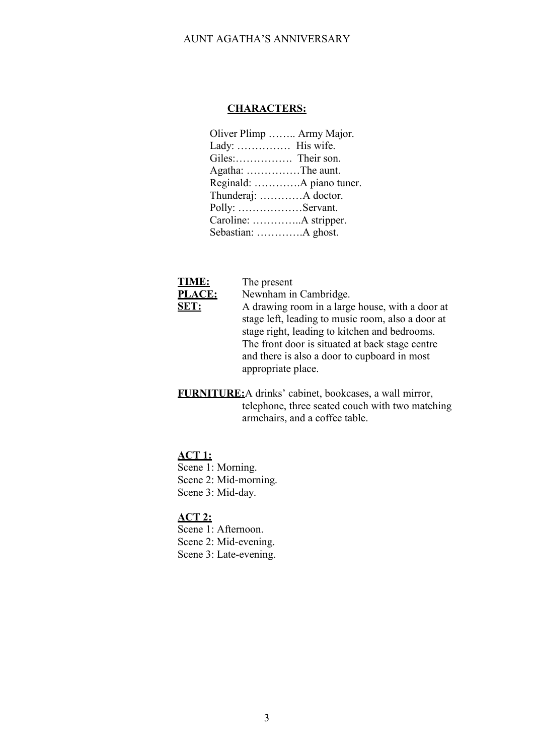#### **CHARACTERS:**

| Oliver Plimp  Army Major. |  |
|---------------------------|--|
|                           |  |
|                           |  |
| Agatha: The aunt.         |  |
|                           |  |
|                           |  |
| Polly: Servant.           |  |
|                           |  |
| Sebastian: A ghost.       |  |
|                           |  |

| TIME:       | The present                                       |
|-------------|---------------------------------------------------|
| PLACE:      | Newnham in Cambridge.                             |
| <b>SET:</b> | A drawing room in a large house, with a door at   |
|             | stage left, leading to music room, also a door at |
|             | stage right, leading to kitchen and bedrooms.     |
|             | The front door is situated at back stage centre   |
|             | and there is also a door to cupboard in most      |
|             | appropriate place.                                |
|             |                                                   |

**FURNITURE:**A drinks' cabinet, bookcases, a wall mirror, telephone, three seated couch with two matching armchairs, and a coffee table.

# **ACT 1:**

Scene 1: Morning. Scene 2: Mid-morning. Scene 3: Mid-day.

# **ACT 2:**

Scene 1: Afternoon. Scene 2: Mid-evening. Scene 3: Late-evening.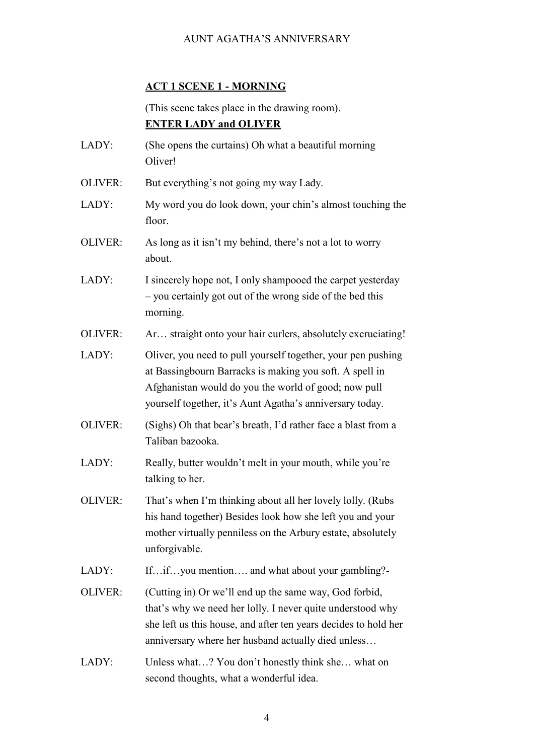## **ACT 1 SCENE 1 - MORNING**

(This scene takes place in the drawing room). **ENTER LADY and OLIVER**

- LADY: (She opens the curtains) Oh what a beautiful morning Oliver!
- OLIVER: But everything's not going my way Lady.
- LADY: My word you do look down, your chin's almost touching the floor.
- OLIVER: As long as it isn't my behind, there's not a lot to worry about.
- LADY: I sincerely hope not, I only shampooed the carpet yesterday – you certainly got out of the wrong side of the bed this morning.
- OLIVER: Ar… straight onto your hair curlers, absolutely excruciating!
- LADY: Oliver, you need to pull yourself together, your pen pushing at Bassingbourn Barracks is making you soft. A spell in Afghanistan would do you the world of good; now pull yourself together, it's Aunt Agatha's anniversary today.
- OLIVER: (Sighs) Oh that bear's breath, I'd rather face a blast from a Taliban bazooka.
- LADY: Really, butter wouldn't melt in your mouth, while you're talking to her.
- OLIVER: That's when I'm thinking about all her lovely lolly. (Rubs his hand together) Besides look how she left you and your mother virtually penniless on the Arbury estate, absolutely unforgivable.
- LADY: If…if…you mention…. and what about your gambling?-
- OLIVER: (Cutting in) Or we'll end up the same way, God forbid, that's why we need her lolly. I never quite understood why she left us this house, and after ten years decides to hold her anniversary where her husband actually died unless…
- LADY: Unless what...? You don't honestly think she... what on second thoughts, what a wonderful idea.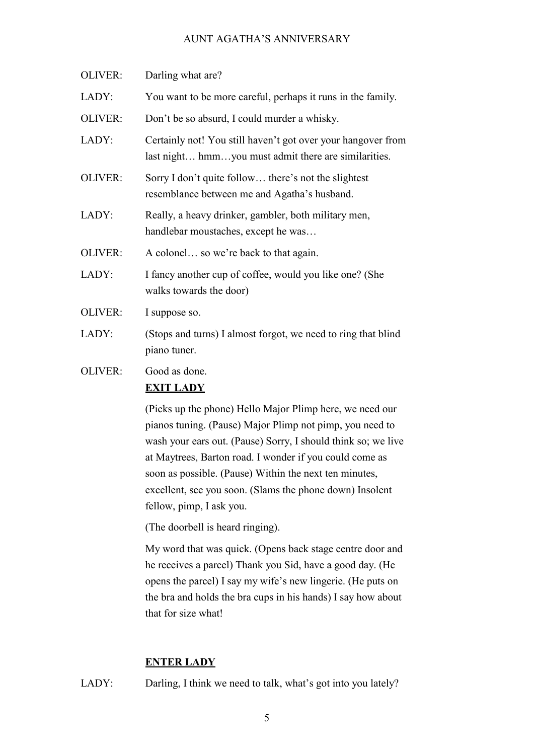| OLIVER: | Darling what are?                                                                                                    |
|---------|----------------------------------------------------------------------------------------------------------------------|
| LADY:   | You want to be more careful, perhaps it runs in the family.                                                          |
| OLIVER: | Don't be so absurd, I could murder a whisky.                                                                         |
| LADY:   | Certainly not! You still haven't got over your hangover from<br>last night hmmyou must admit there are similarities. |
| OLIVER: | Sorry I don't quite follow there's not the slightest<br>resemblance between me and Agatha's husband.                 |
| LADY:   | Really, a heavy drinker, gambler, both military men,<br>handlebar moustaches, except he was                          |
| OLIVER: | A colonel so we're back to that again.                                                                               |
| LADY:   | I fancy another cup of coffee, would you like one? (She<br>walks towards the door)                                   |
| OLIVER: | I suppose so.                                                                                                        |
| LADY:   | (Stops and turns) I almost forgot, we need to ring that blind<br>piano tuner.                                        |
| OLIVER: | Good as done.<br><b>EXIT LADY</b>                                                                                    |

(Picks up the phone) Hello Major Plimp here, we need our pianos tuning. (Pause) Major Plimp not pimp, you need to wash your ears out. (Pause) Sorry, I should think so; we live at Maytrees, Barton road. I wonder if you could come as soon as possible. (Pause) Within the next ten minutes, excellent, see you soon. (Slams the phone down) Insolent fellow, pimp, I ask you.

(The doorbell is heard ringing).

My word that was quick. (Opens back stage centre door and he receives a parcel) Thank you Sid, have a good day. (He opens the parcel) I say my wife's new lingerie. (He puts on the bra and holds the bra cups in his hands) I say how about that for size what!

### **ENTER LADY**

LADY: Darling, I think we need to talk, what's got into you lately?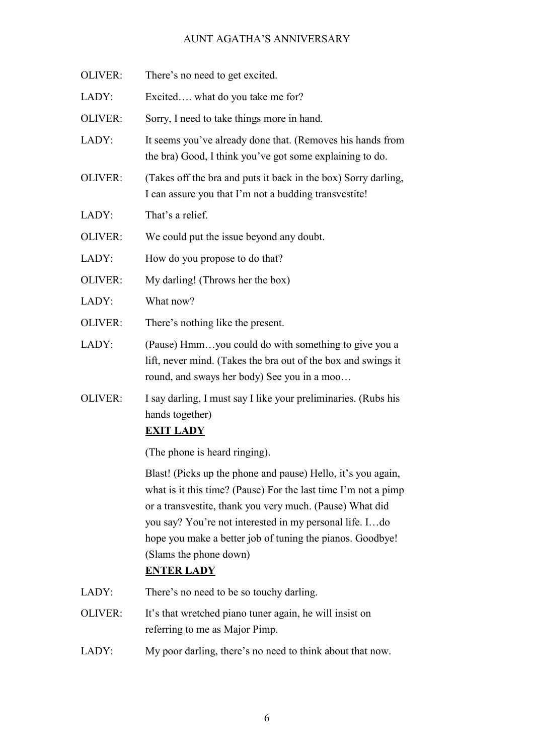| OLIVER: | There's no need to get excited.                                                                                                                                                                                                                                                                                                                                   |
|---------|-------------------------------------------------------------------------------------------------------------------------------------------------------------------------------------------------------------------------------------------------------------------------------------------------------------------------------------------------------------------|
| LADY:   | Excited what do you take me for?                                                                                                                                                                                                                                                                                                                                  |
| OLIVER: | Sorry, I need to take things more in hand.                                                                                                                                                                                                                                                                                                                        |
| LADY:   | It seems you've already done that. (Removes his hands from<br>the bra) Good, I think you've got some explaining to do.                                                                                                                                                                                                                                            |
| OLIVER: | (Takes off the bra and puts it back in the box) Sorry darling,<br>I can assure you that I'm not a budding transvestite!                                                                                                                                                                                                                                           |
| LADY:   | That's a relief.                                                                                                                                                                                                                                                                                                                                                  |
| OLIVER: | We could put the issue beyond any doubt.                                                                                                                                                                                                                                                                                                                          |
| LADY:   | How do you propose to do that?                                                                                                                                                                                                                                                                                                                                    |
| OLIVER: | My darling! (Throws her the box)                                                                                                                                                                                                                                                                                                                                  |
| LADY:   | What now?                                                                                                                                                                                                                                                                                                                                                         |
| OLIVER: | There's nothing like the present.                                                                                                                                                                                                                                                                                                                                 |
| LADY:   | (Pause) Hmmyou could do with something to give you a<br>lift, never mind. (Takes the bra out of the box and swings it<br>round, and sways her body) See you in a moo                                                                                                                                                                                              |
| OLIVER: | I say darling, I must say I like your preliminaries. (Rubs his<br>hands together)<br><b>EXIT LADY</b>                                                                                                                                                                                                                                                             |
|         | (The phone is heard ringing).                                                                                                                                                                                                                                                                                                                                     |
|         | Blast! (Picks up the phone and pause) Hello, it's you again,<br>what is it this time? (Pause) For the last time I'm not a pimp<br>or a transvestite, thank you very much. (Pause) What did<br>you say? You're not interested in my personal life. Ido<br>hope you make a better job of tuning the pianos. Goodbye!<br>(Slams the phone down)<br><b>ENTER LADY</b> |
| LADY:   | There's no need to be so touchy darling.                                                                                                                                                                                                                                                                                                                          |
| OLIVER: | It's that wretched piano tuner again, he will insist on<br>referring to me as Major Pimp.                                                                                                                                                                                                                                                                         |
| LADY:   | My poor darling, there's no need to think about that now.                                                                                                                                                                                                                                                                                                         |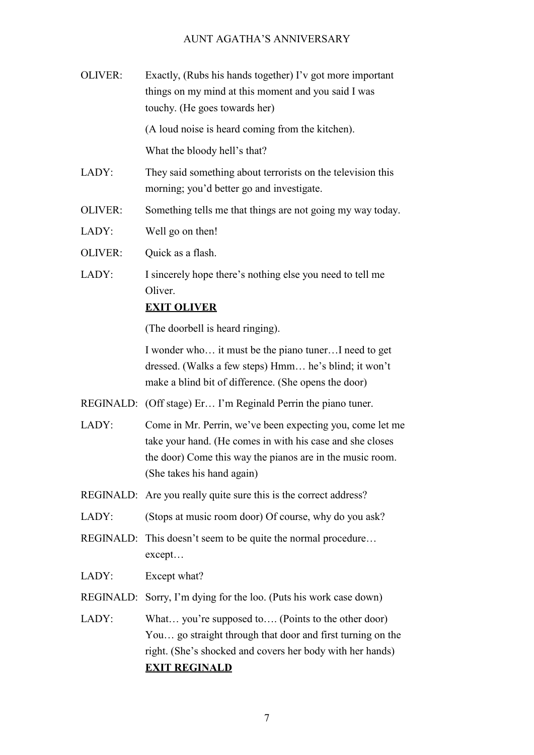| <b>OLIVER:</b> | Exactly, (Rubs his hands together) I'v got more important<br>things on my mind at this moment and you said I was<br>touchy. (He goes towards her)                                                                 |
|----------------|-------------------------------------------------------------------------------------------------------------------------------------------------------------------------------------------------------------------|
|                | (A loud noise is heard coming from the kitchen).                                                                                                                                                                  |
|                | What the bloody hell's that?                                                                                                                                                                                      |
| LADY:          | They said something about terrorists on the television this<br>morning; you'd better go and investigate.                                                                                                          |
| <b>OLIVER:</b> | Something tells me that things are not going my way today.                                                                                                                                                        |
| LADY:          | Well go on then!                                                                                                                                                                                                  |
| OLIVER:        | Quick as a flash.                                                                                                                                                                                                 |
| LADY:          | I sincerely hope there's nothing else you need to tell me<br>Oliver.                                                                                                                                              |
|                | <b>EXIT OLIVER</b>                                                                                                                                                                                                |
|                | (The doorbell is heard ringing).                                                                                                                                                                                  |
|                | I wonder who it must be the piano tunerI need to get<br>dressed. (Walks a few steps) Hmm he's blind; it won't<br>make a blind bit of difference. (She opens the door)                                             |
|                | REGINALD: (Off stage) Er I'm Reginald Perrin the piano tuner.                                                                                                                                                     |
| LADY:          | Come in Mr. Perrin, we've been expecting you, come let me<br>take your hand. (He comes in with his case and she closes<br>the door) Come this way the pianos are in the music room.<br>(She takes his hand again) |
|                | REGINALD: Are you really quite sure this is the correct address?                                                                                                                                                  |
| LADY:          | (Stops at music room door) Of course, why do you ask?                                                                                                                                                             |
| REGINALD:      | This doesn't seem to be quite the normal procedure<br>except                                                                                                                                                      |
| LADY:          | Except what?                                                                                                                                                                                                      |
|                | REGINALD: Sorry, I'm dying for the loo. (Puts his work case down)                                                                                                                                                 |
| LADY:          | What you're supposed to (Points to the other door)<br>You go straight through that door and first turning on the<br>right. (She's shocked and covers her body with her hands)<br><b>EXIT REGINALD</b>             |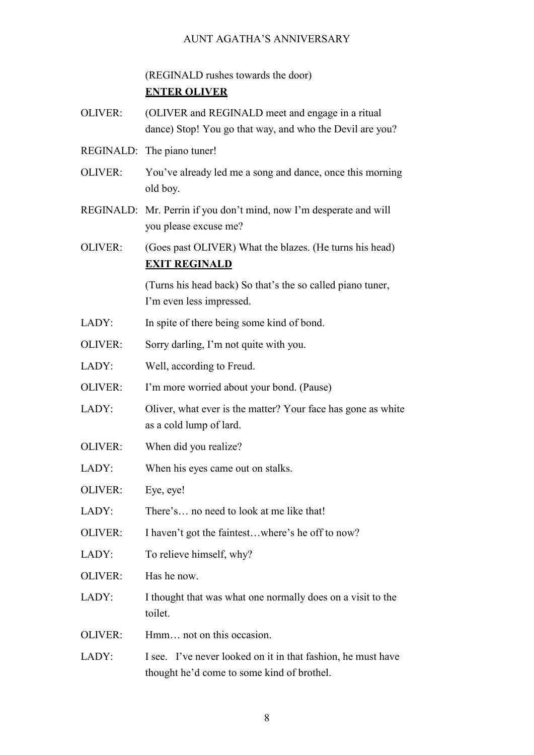(REGINALD rushes towards the door) **ENTER OLIVER**

- OLIVER: (OLIVER and REGINALD meet and engage in a ritual dance) Stop! You go that way, and who the Devil are you?
- REGINALD: The piano tuner!
- OLIVER: You've already led me a song and dance, once this morning old boy.
- REGINALD: Mr. Perrin if you don't mind, now I'm desperate and will you please excuse me?

OLIVER: (Goes past OLIVER) What the blazes. (He turns his head) **EXIT REGINALD**

> (Turns his head back) So that's the so called piano tuner, I'm even less impressed.

- LADY: In spite of there being some kind of bond.
- OLIVER: Sorry darling, I'm not quite with you.
- LADY: Well, according to Freud.
- OLIVER: I'm more worried about your bond. (Pause)
- LADY: Oliver, what ever is the matter? Your face has gone as white as a cold lump of lard.
- OLIVER: When did you realize?
- LADY: When his eyes came out on stalks.
- OLIVER: Eye, eye!
- LADY: There's... no need to look at me like that!
- OLIVER: I haven't got the faintest…where's he off to now?
- LADY: To relieve himself, why?
- OLIVER: Has he now.
- LADY: I thought that was what one normally does on a visit to the toilet.
- OLIVER: Hmm… not on this occasion.
- LADY: I see. I've never looked on it in that fashion, he must have thought he'd come to some kind of brothel.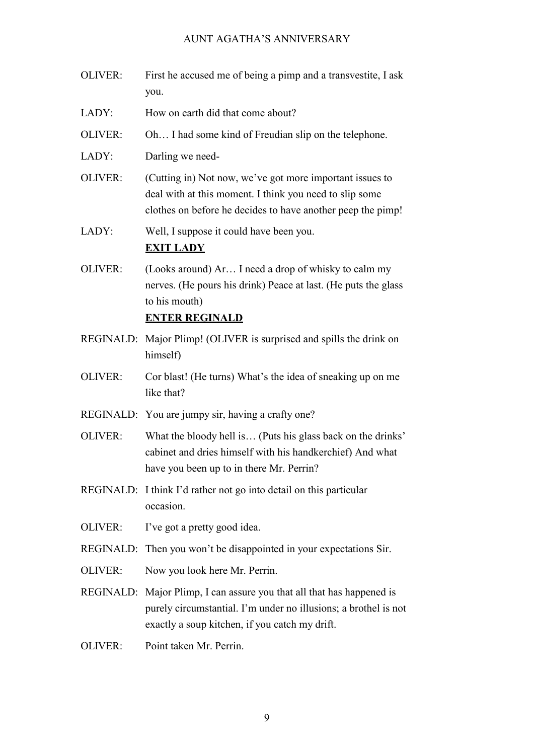- OLIVER: First he accused me of being a pimp and a transvestite, I ask you.
- LADY: How on earth did that come about?
- OLIVER: Oh… I had some kind of Freudian slip on the telephone.
- LADY: Darling we need-
- OLIVER: (Cutting in) Not now, we've got more important issues to deal with at this moment. I think you need to slip some clothes on before he decides to have another peep the pimp!
- LADY: Well, I suppose it could have been you. **EXIT LADY**
- OLIVER: (Looks around) Ar… I need a drop of whisky to calm my nerves. (He pours his drink) Peace at last. (He puts the glass to his mouth)

#### **ENTER REGINALD**

- REGINALD: Major Plimp! (OLIVER is surprised and spills the drink on himself)
- OLIVER: Cor blast! (He turns) What's the idea of sneaking up on me like that?
- REGINALD: You are jumpy sir, having a crafty one?
- OLIVER: What the bloody hell is… (Puts his glass back on the drinks' cabinet and dries himself with his handkerchief) And what have you been up to in there Mr. Perrin?
- REGINALD: I think I'd rather not go into detail on this particular occasion.
- OLIVER: I've got a pretty good idea.
- REGINALD: Then you won't be disappointed in your expectations Sir.
- OLIVER: Now you look here Mr. Perrin.
- REGINALD: Major Plimp, I can assure you that all that has happened is purely circumstantial. I'm under no illusions; a brothel is not exactly a soup kitchen, if you catch my drift.
- OLIVER: Point taken Mr. Perrin.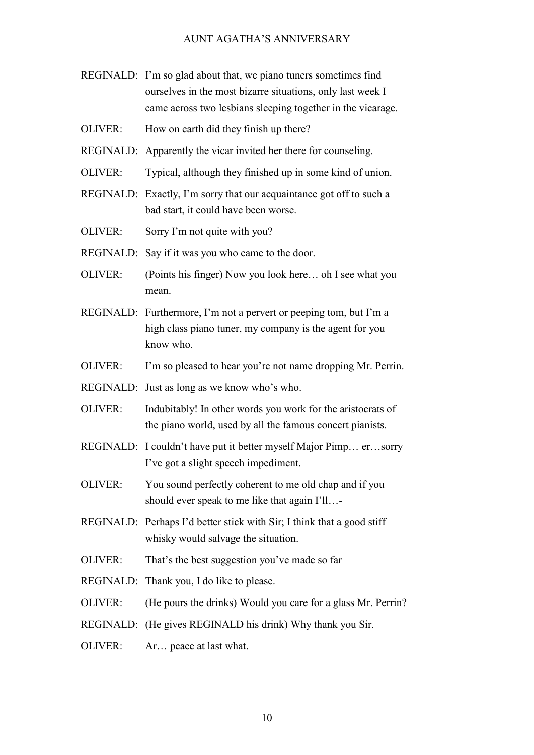- REGINALD: I'm so glad about that, we piano tuners sometimes find ourselves in the most bizarre situations, only last week I came across two lesbians sleeping together in the vicarage.
- OLIVER: How on earth did they finish up there?
- REGINALD: Apparently the vicar invited her there for counseling.
- OLIVER: Typical, although they finished up in some kind of union.
- REGINALD: Exactly, I'm sorry that our acquaintance got off to such a bad start, it could have been worse.
- OLIVER: Sorry I'm not quite with you?
- REGINALD: Say if it was you who came to the door.
- OLIVER: (Points his finger) Now you look here… oh I see what you mean.
- REGINALD: Furthermore, I'm not a pervert or peeping tom, but I'm a high class piano tuner, my company is the agent for you know who.
- OLIVER: I'm so pleased to hear you're not name dropping Mr. Perrin.
- REGINALD: Just as long as we know who's who.
- OLIVER: Indubitably! In other words you work for the aristocrats of the piano world, used by all the famous concert pianists.
- REGINALD: I couldn't have put it better myself Major Pimp… er…sorry I've got a slight speech impediment.
- OLIVER: You sound perfectly coherent to me old chap and if you should ever speak to me like that again I'll…-
- REGINALD: Perhaps I'd better stick with Sir; I think that a good stiff whisky would salvage the situation.
- OLIVER: That's the best suggestion you've made so far
- REGINALD: Thank you, I do like to please.
- OLIVER: (He pours the drinks) Would you care for a glass Mr. Perrin?
- REGINALD: (He gives REGINALD his drink) Why thank you Sir.
- OLIVER: Ar… peace at last what.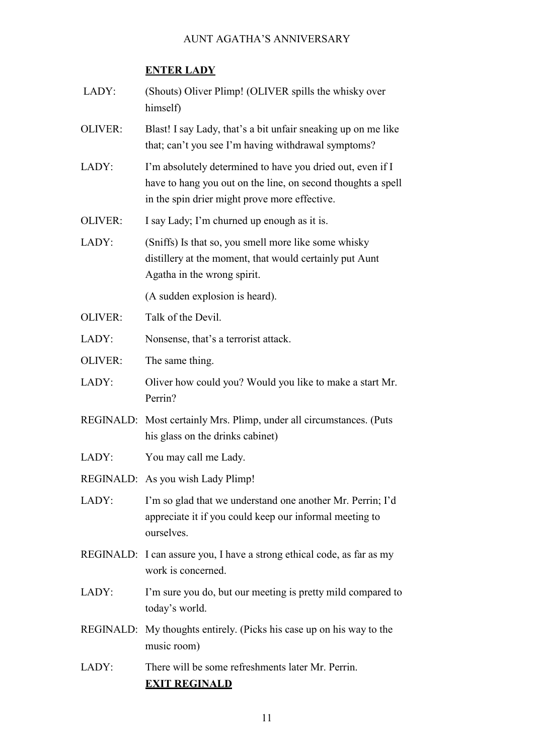# **ENTER LADY**

| (Shouts) Oliver Plimp! (OLIVER spills the whisky over<br>himself)                                                                                                           |
|-----------------------------------------------------------------------------------------------------------------------------------------------------------------------------|
| Blast! I say Lady, that's a bit unfair sneaking up on me like<br>that; can't you see I'm having withdrawal symptoms?                                                        |
| I'm absolutely determined to have you dried out, even if I<br>have to hang you out on the line, on second thoughts a spell<br>in the spin drier might prove more effective. |
| I say Lady; I'm churned up enough as it is.                                                                                                                                 |
| (Sniffs) Is that so, you smell more like some whisky<br>distillery at the moment, that would certainly put Aunt<br>Agatha in the wrong spirit.                              |
| (A sudden explosion is heard).                                                                                                                                              |
| Talk of the Devil.                                                                                                                                                          |
| Nonsense, that's a terrorist attack.                                                                                                                                        |
| The same thing.                                                                                                                                                             |
| Oliver how could you? Would you like to make a start Mr.<br>Perrin?                                                                                                         |
| REGINALD: Most certainly Mrs. Plimp, under all circumstances. (Puts<br>his glass on the drinks cabinet)                                                                     |
| You may call me Lady.                                                                                                                                                       |
| REGINALD: As you wish Lady Plimp!                                                                                                                                           |
| I'm so glad that we understand one another Mr. Perrin; I'd<br>appreciate it if you could keep our informal meeting to<br>ourselves.                                         |
| REGINALD: I can assure you, I have a strong ethical code, as far as my<br>work is concerned.                                                                                |
| I'm sure you do, but our meeting is pretty mild compared to<br>today's world.                                                                                               |
| REGINALD: My thoughts entirely. (Picks his case up on his way to the<br>music room)                                                                                         |
| There will be some refreshments later Mr. Perrin.                                                                                                                           |
|                                                                                                                                                                             |

# **EXIT REGINALD**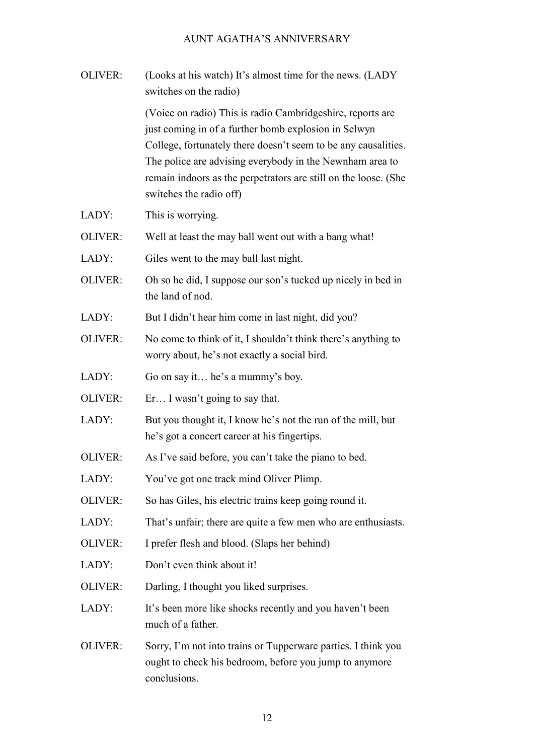| OLIVER:        | (Looks at his watch) It's almost time for the news. (LADY<br>switches on the radio)                                                                                                                                                                                                                                                            |
|----------------|------------------------------------------------------------------------------------------------------------------------------------------------------------------------------------------------------------------------------------------------------------------------------------------------------------------------------------------------|
|                | (Voice on radio) This is radio Cambridgeshire, reports are<br>just coming in of a further bomb explosion in Selwyn<br>College, fortunately there doesn't seem to be any causalities.<br>The police are advising everybody in the Newnham area to<br>remain indoors as the perpetrators are still on the loose. (She<br>switches the radio off) |
| LADY:          | This is worrying.                                                                                                                                                                                                                                                                                                                              |
| OLIVER:        | Well at least the may ball went out with a bang what!                                                                                                                                                                                                                                                                                          |
| LADY:          | Giles went to the may ball last night.                                                                                                                                                                                                                                                                                                         |
| OLIVER:        | Oh so he did, I suppose our son's tucked up nicely in bed in<br>the land of nod.                                                                                                                                                                                                                                                               |
| LADY:          | But I didn't hear him come in last night, did you?                                                                                                                                                                                                                                                                                             |
| OLIVER:        | No come to think of it, I shouldn't think there's anything to<br>worry about, he's not exactly a social bird.                                                                                                                                                                                                                                  |
| LADY:          | Go on say it he's a mummy's boy.                                                                                                                                                                                                                                                                                                               |
| OLIVER:        | Er I wasn't going to say that.                                                                                                                                                                                                                                                                                                                 |
| LADY:          | But you thought it, I know he's not the run of the mill, but<br>he's got a concert career at his fingertips.                                                                                                                                                                                                                                   |
| OLIVER:        | As I've said before, you can't take the piano to bed.                                                                                                                                                                                                                                                                                          |
| LADY:          | You've got one track mind Oliver Plimp.                                                                                                                                                                                                                                                                                                        |
| OLIVER:        | So has Giles, his electric trains keep going round it.                                                                                                                                                                                                                                                                                         |
| LADY:          | That's unfair; there are quite a few men who are enthusiasts.                                                                                                                                                                                                                                                                                  |
| OLIVER:        | I prefer flesh and blood. (Slaps her behind)                                                                                                                                                                                                                                                                                                   |
| LADY:          | Don't even think about it!                                                                                                                                                                                                                                                                                                                     |
| <b>OLIVER:</b> | Darling, I thought you liked surprises.                                                                                                                                                                                                                                                                                                        |
| LADY:          | It's been more like shocks recently and you haven't been<br>much of a father.                                                                                                                                                                                                                                                                  |
| <b>OLIVER:</b> | Sorry, I'm not into trains or Tupperware parties. I think you<br>ought to check his bedroom, before you jump to anymore<br>conclusions.                                                                                                                                                                                                        |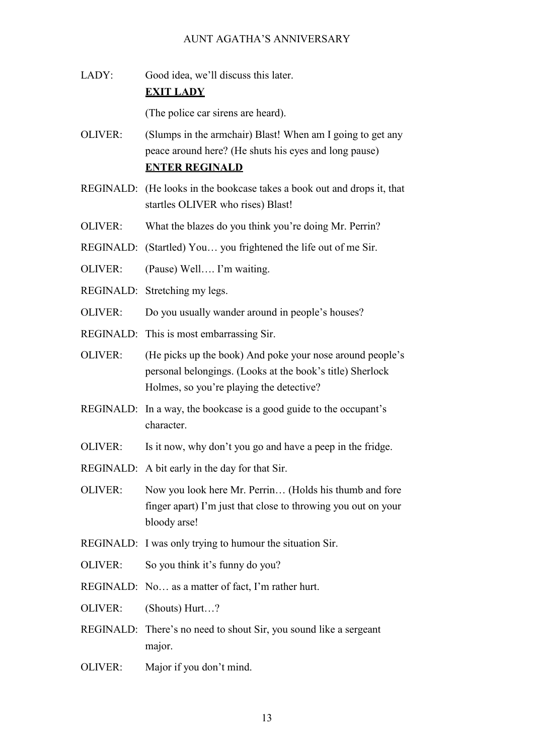LADY: Good idea, we'll discuss this later.

### **EXIT LADY**

(The police car sirens are heard).

- OLIVER: (Slumps in the armchair) Blast! When am I going to get any peace around here? (He shuts his eyes and long pause) **ENTER REGINALD**
- REGINALD: (He looks in the bookcase takes a book out and drops it, that startles OLIVER who rises) Blast!
- OLIVER: What the blazes do you think you're doing Mr. Perrin?
- REGINALD: (Startled) You… you frightened the life out of me Sir.
- OLIVER: (Pause) Well…. I'm waiting.
- REGINALD: Stretching my legs.
- OLIVER: Do you usually wander around in people's houses?
- REGINALD: This is most embarrassing Sir.
- OLIVER: (He picks up the book) And poke your nose around people's personal belongings. (Looks at the book's title) Sherlock Holmes, so you're playing the detective?
- REGINALD: In a way, the bookcase is a good guide to the occupant's character.
- OLIVER: Is it now, why don't you go and have a peep in the fridge.
- REGINALD: A bit early in the day for that Sir.
- OLIVER: Now you look here Mr. Perrin… (Holds his thumb and fore finger apart) I'm just that close to throwing you out on your bloody arse!
- REGINALD: I was only trying to humour the situation Sir.
- OLIVER: So you think it's funny do you?
- REGINALD: No… as a matter of fact, I'm rather hurt.
- OLIVER: (Shouts) Hurt…?
- REGINALD: There's no need to shout Sir, you sound like a sergeant major.
- OLIVER: Major if you don't mind.